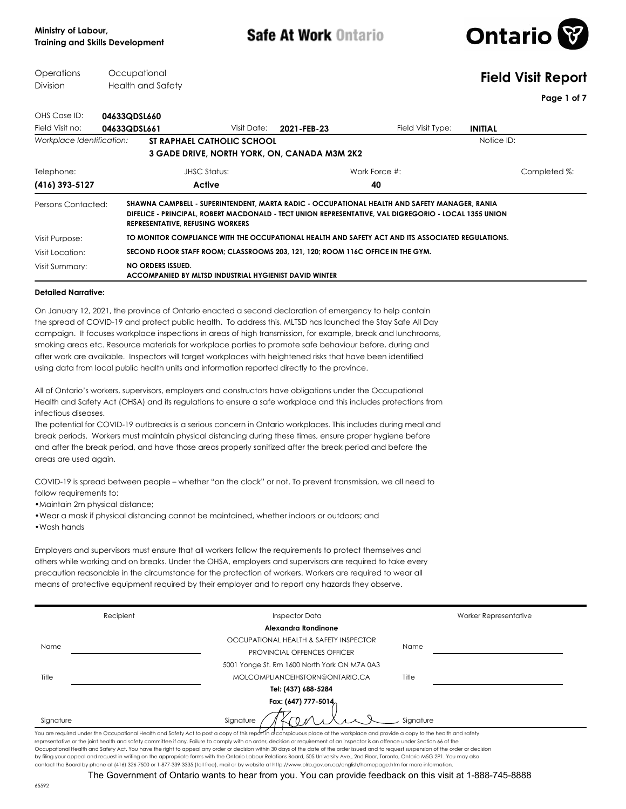

#### **Operations** Division **Occupational** Health and Safety **Field Visit Report Page 1 of 7** OHS Case ID: **04633QDSL660** Field Visit no: **04633QDSL661** Field Visit Type: **INITIAL** Visit Date: **2021-FEB-23 Workplace Identification: <b>ST RAPHAEL CATHOLIC SCHOOL Notice ID:** Notice ID: Notice ID: **3 GADE DRIVE, NORTH YORK, ON, CANADA M3M 2K2 (416) 393-5127 Active 40** Telephone: JHSC Status: Work Force #: Completed %: **SHAWNA CAMPBELL - SUPERINTENDENT, MARTA RADIC - OCCUPATIONAL HEALTH AND SAFETY MANAGER, RANIA DIFELICE - PRINCIPAL, ROBERT MACDONALD - TECT UNION REPRESENTATIVE, VAL DIGREGORIO - LOCAL 1355 UNION REPRESENTATIVE, REFUSING WORKERS** Persons Contacted: Visit Purpose: **TO MONITOR COMPLIANCE WITH THE OCCUPATIONAL HEALTH AND SAFETY ACT AND ITS ASSOCIATED REGULATIONS.** Visit Location: **SECOND FLOOR STAFF ROOM; CLASSROOMS 203, 121, 120; ROOM 116C OFFICE IN THE GYM. NO ORDERS ISSUED. ACCOMPANIED BY MLTSD INDUSTRIAL HYGIENIST DAVID WINTER** Visit Summary:

### **Detailed Narrative:**

On January 12, 2021, the province of Ontario enacted a second declaration of emergency to help contain the spread of COVID-19 and protect public health. To address this, MLTSD has launched the Stay Safe All Day campaign. It focuses workplace inspections in areas of high transmission, for example, break and lunchrooms, smoking areas etc. Resource materials for workplace parties to promote safe behaviour before, during and after work are available. Inspectors will target workplaces with heightened risks that have been identified using data from local public health units and information reported directly to the province.

All of Ontario's workers, supervisors, employers and constructors have obligations under the Occupational Health and Safety Act (OHSA) and its regulations to ensure a safe workplace and this includes protections from infectious diseases.

The potential for COVID-19 outbreaks is a serious concern in Ontario workplaces. This includes during meal and break periods. Workers must maintain physical distancing during these times, ensure proper hygiene before and after the break period, and have those areas properly sanitized after the break period and before the areas are used again.

COVID-19 is spread between people – whether "on the clock" or not. To prevent transmission, we all need to follow requirements to:

•Maintain 2m physical distance;

•Wear a mask if physical distancing cannot be maintained, whether indoors or outdoors; and

•Wash hands

Employers and supervisors must ensure that all workers follow the requirements to protect themselves and others while working and on breaks. Under the OHSA, employers and supervisors are required to take every precaution reasonable in the circumstance for the protection of workers. Workers are required to wear all means of protective equipment required by their employer and to report any hazards they observe.

|                                                                                                                                                                                                                                                                                                                                                                   | Recipient           | <b>Inspector Data</b>                        | Worker Representative |  |  |  |  |
|-------------------------------------------------------------------------------------------------------------------------------------------------------------------------------------------------------------------------------------------------------------------------------------------------------------------------------------------------------------------|---------------------|----------------------------------------------|-----------------------|--|--|--|--|
|                                                                                                                                                                                                                                                                                                                                                                   |                     | Alexandra Rondinone                          |                       |  |  |  |  |
|                                                                                                                                                                                                                                                                                                                                                                   |                     | OCCUPATIONAL HEALTH & SAFETY INSPECTOR       |                       |  |  |  |  |
| Name                                                                                                                                                                                                                                                                                                                                                              |                     | <b>PROVINCIAL OFFENCES OFFICER</b>           | Name                  |  |  |  |  |
|                                                                                                                                                                                                                                                                                                                                                                   |                     | 5001 Yonge St, Rm 1600 North York ON M7A 0A3 |                       |  |  |  |  |
| Title                                                                                                                                                                                                                                                                                                                                                             |                     | MOLCOMPLIANCEIHSTORN@ONTARIO.CA              | Title                 |  |  |  |  |
|                                                                                                                                                                                                                                                                                                                                                                   |                     | Tel: (437) 688-5284                          |                       |  |  |  |  |
|                                                                                                                                                                                                                                                                                                                                                                   | Fax: (647) 777-5014 |                                              |                       |  |  |  |  |
| Signature                                                                                                                                                                                                                                                                                                                                                         |                     | Signature                                    | Signature             |  |  |  |  |
| You are required under the Occupational Health and Safety Act to post a copy of this report in a conspicuous place at the workplace and provide a copy to the health and safety<br>representative or the joint health and safety committee if any. Failure to comply with an order, decision or requirement of an inspector is an offence under Section 66 of the |                     |                                              |                       |  |  |  |  |

representative or the joint health and safety committee if any. Failure to comply with an order, decision or requirement of an inspector is an offence under Section 66 of the Occupational Health and Safety Act. You have the right to appeal any order or decision within 30 days of the date of the order issued and to request suspension of the order or decision by filing your appeal and request in writing on the appropriate forms with the Ontario Labour Relations Board, 505 University Ave., 2nd Floor, Toronto, Ontario M5G 2P1. You may also contact the Board by phone at (416) 326-7500 or 1-877-339-3335 (toll free), mail or by website at http://www.olrb.gov.on.ca/english/homepage.htm for more information.

The Government of Ontario wants to hear from you. You can provide feedback on this visit at 1-888-745-8888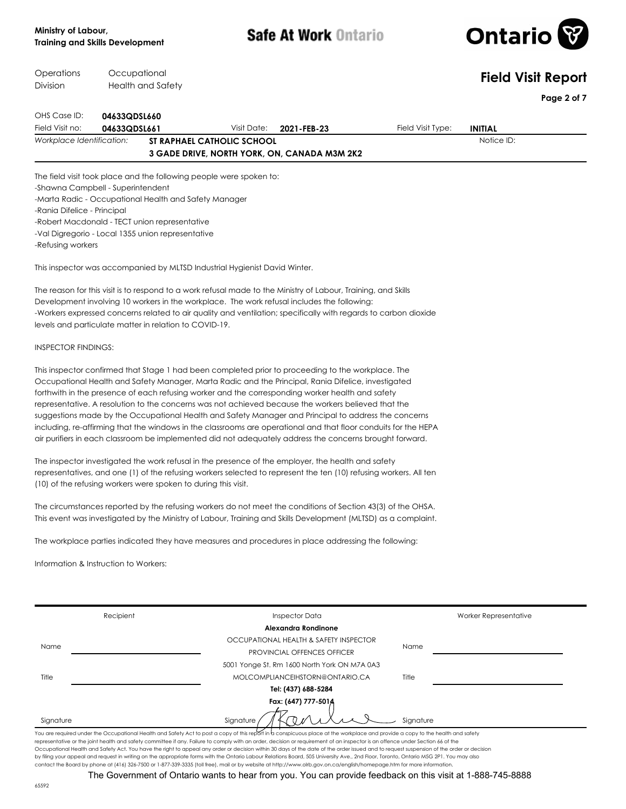

| Operations<br>Division                | Occupational | Health and Safety                                                                                  |                            |                                                                                                                                                                                                             |                   | <b>Field Visit Report</b>    |
|---------------------------------------|--------------|----------------------------------------------------------------------------------------------------|----------------------------|-------------------------------------------------------------------------------------------------------------------------------------------------------------------------------------------------------------|-------------------|------------------------------|
|                                       |              |                                                                                                    |                            |                                                                                                                                                                                                             |                   | Page 2 of 7                  |
| OHS Case ID:                          | 04633QDSL660 |                                                                                                    |                            |                                                                                                                                                                                                             |                   |                              |
| Field Visit no:                       | 04633QDSL661 |                                                                                                    | Visit Date:                | 2021-FEB-23                                                                                                                                                                                                 | Field Visit Type: | <b>INITIAL</b><br>Notice ID: |
| Workplace Identification:             |              |                                                                                                    | ST RAPHAEL CATHOLIC SCHOOL | 3 GADE DRIVE, NORTH YORK, ON, CANADA M3M 2K2                                                                                                                                                                |                   |                              |
|                                       |              | The field visit took place and the following people were spoken to:                                |                            |                                                                                                                                                                                                             |                   |                              |
| -Shawna Campbell - Superintendent     |              |                                                                                                    |                            |                                                                                                                                                                                                             |                   |                              |
|                                       |              | -Marta Radic - Occupational Health and Safety Manager                                              |                            |                                                                                                                                                                                                             |                   |                              |
| -Rania Difelice - Principal           |              |                                                                                                    |                            |                                                                                                                                                                                                             |                   |                              |
|                                       |              | -Robert Macdonald - TECT union representative<br>-Val Digregorio - Local 1355 union representative |                            |                                                                                                                                                                                                             |                   |                              |
| -Refusing workers                     |              |                                                                                                    |                            |                                                                                                                                                                                                             |                   |                              |
|                                       |              | This inspector was accompanied by MLTSD Industrial Hygienist David Winter.                         |                            |                                                                                                                                                                                                             |                   |                              |
|                                       |              |                                                                                                    |                            | The reason for this visit is to respond to a work refusal made to the Ministry of Labour, Training, and Skills                                                                                              |                   |                              |
|                                       |              |                                                                                                    |                            | Development involving 10 workers in the workplace. The work refusal includes the following:                                                                                                                 |                   |                              |
|                                       |              | levels and particulate matter in relation to COVID-19.                                             |                            | -Workers expressed concerns related to air quality and ventilation; specifically with regards to carbon dioxide                                                                                             |                   |                              |
|                                       |              |                                                                                                    |                            |                                                                                                                                                                                                             |                   |                              |
| <b>INSPECTOR FINDINGS:</b>            |              |                                                                                                    |                            |                                                                                                                                                                                                             |                   |                              |
|                                       |              |                                                                                                    |                            | This inspector confirmed that Stage 1 had been completed prior to proceeding to the workplace. The                                                                                                          |                   |                              |
|                                       |              |                                                                                                    |                            | Occupational Health and Safety Manager, Marta Radic and the Principal, Rania Difelice, investigated                                                                                                         |                   |                              |
|                                       |              |                                                                                                    |                            | forthwith in the presence of each refusing worker and the corresponding worker health and safety                                                                                                            |                   |                              |
|                                       |              |                                                                                                    |                            | representative. A resolution to the concerns was not achieved because the workers believed that the<br>suggestions made by the Occupational Health and Safety Manager and Principal to address the concerns |                   |                              |
|                                       |              |                                                                                                    |                            | including, re-affirming that the windows in the classrooms are operational and that floor conduits for the HEPA                                                                                             |                   |                              |
|                                       |              |                                                                                                    |                            | air purifiers in each classroom be implemented did not adequately address the concerns brought forward.                                                                                                     |                   |                              |
|                                       |              |                                                                                                    |                            | The inspector investigated the work refusal in the presence of the employer, the health and safety                                                                                                          |                   |                              |
|                                       |              |                                                                                                    |                            | representatives, and one (1) of the refusing workers selected to represent the ten (10) refusing workers. All ten                                                                                           |                   |                              |
|                                       |              | (10) of the refusing workers were spoken to during this visit.                                     |                            |                                                                                                                                                                                                             |                   |                              |
|                                       |              |                                                                                                    |                            | The circumstances reported by the refusing workers do not meet the conditions of Section 43(3) of the OHSA.                                                                                                 |                   |                              |
|                                       |              |                                                                                                    |                            | This event was investigated by the Ministry of Labour, Training and Skills Development (MLTSD) as a complaint.                                                                                              |                   |                              |
|                                       |              |                                                                                                    |                            | The workplace parties indicated they have measures and procedures in place addressing the following:                                                                                                        |                   |                              |
| Information & Instruction to Workers: |              |                                                                                                    |                            |                                                                                                                                                                                                             |                   |                              |
|                                       |              |                                                                                                    |                            |                                                                                                                                                                                                             |                   |                              |
|                                       |              |                                                                                                    |                            |                                                                                                                                                                                                             |                   |                              |
|                                       | Recipient    |                                                                                                    |                            | <b>Inspector Data</b>                                                                                                                                                                                       |                   | Worker Representative        |
|                                       |              |                                                                                                    |                            | Alexandra Rondinone                                                                                                                                                                                         |                   |                              |
| Name                                  |              |                                                                                                    |                            | OCCUPATIONAL HEALTH & SAFETY INSPECTOR<br><b>PROVINCIAL OFFENCES OFFICER</b>                                                                                                                                | Name              |                              |
|                                       |              |                                                                                                    |                            | 5001 Yonge St. Rm 1600 North York ON M7A 0A3                                                                                                                                                                |                   |                              |
| Title                                 |              |                                                                                                    |                            | MOLCOMPLIANCEIHSTORN@ONTARIO.CA                                                                                                                                                                             | Title             |                              |
|                                       |              |                                                                                                    |                            | Tel: (437) 688-5284                                                                                                                                                                                         |                   |                              |
|                                       |              |                                                                                                    |                            | Fax: (647) 777-5014                                                                                                                                                                                         |                   |                              |
|                                       |              |                                                                                                    |                            |                                                                                                                                                                                                             |                   |                              |
| Signature                             |              |                                                                                                    | Signature                  |                                                                                                                                                                                                             | Signature         |                              |

by filing your appeal and request in writing on the appropriate forms with the Ontario Labour Relations Board, 505 University Ave., 2nd Floor, Toronto, Ontario M5G 2P1. You may also<br>contact the Board by phone at (416) 326-The Government of Ontario wants to hear from you. You can provide feedback on this visit at 1-888-745-8888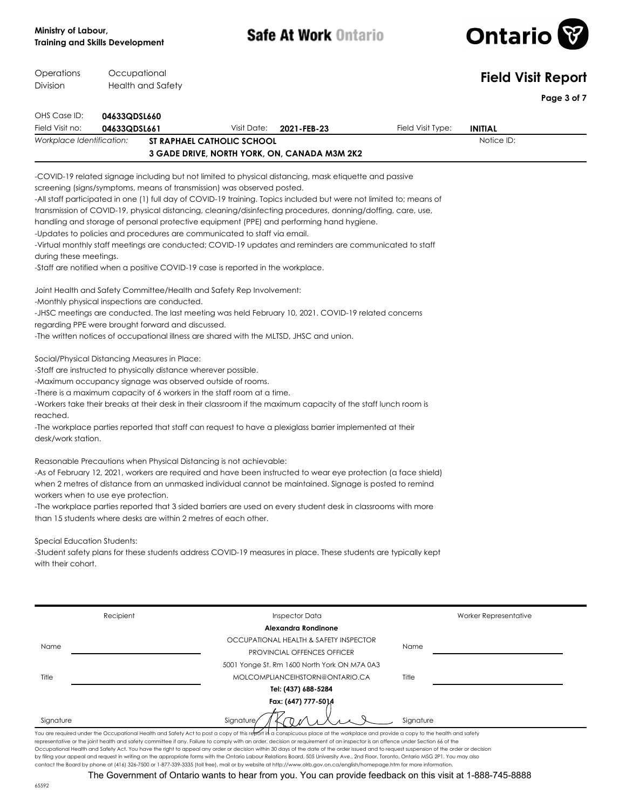

| Operations<br>Division                        | Occupational             |                                                                 |                                                                                 |                                                                                                                                                                                                                                                                                                                                                                                                                                                                                                                                                             |                   | <b>Field Visit Report</b> |             |
|-----------------------------------------------|--------------------------|-----------------------------------------------------------------|---------------------------------------------------------------------------------|-------------------------------------------------------------------------------------------------------------------------------------------------------------------------------------------------------------------------------------------------------------------------------------------------------------------------------------------------------------------------------------------------------------------------------------------------------------------------------------------------------------------------------------------------------------|-------------------|---------------------------|-------------|
|                                               | <b>Health and Safety</b> |                                                                 |                                                                                 |                                                                                                                                                                                                                                                                                                                                                                                                                                                                                                                                                             |                   |                           | Page 3 of 7 |
| OHS Case ID:                                  | 04633QDSL660             |                                                                 |                                                                                 |                                                                                                                                                                                                                                                                                                                                                                                                                                                                                                                                                             |                   |                           |             |
| Field Visit no:                               | 04633QDSL661             |                                                                 | Visit Date:                                                                     | 2021-FEB-23                                                                                                                                                                                                                                                                                                                                                                                                                                                                                                                                                 | Field Visit Type: | <b>INITIAL</b>            |             |
| Workplace Identification:                     |                          |                                                                 | <b>ST RAPHAEL CATHOLIC SCHOOL</b>                                               | 3 GADE DRIVE, NORTH YORK, ON, CANADA M3M 2K2                                                                                                                                                                                                                                                                                                                                                                                                                                                                                                                |                   | Notice ID:                |             |
|                                               |                          |                                                                 |                                                                                 | -COVID-19 related signage including but not limited to physical distancing, mask etiquette and passive                                                                                                                                                                                                                                                                                                                                                                                                                                                      |                   |                           |             |
|                                               |                          |                                                                 | screening (signs/symptoms, means of transmission) was observed posted.          |                                                                                                                                                                                                                                                                                                                                                                                                                                                                                                                                                             |                   |                           |             |
|                                               |                          |                                                                 |                                                                                 | -All staff participated in one (1) full day of COVID-19 training. Topics included but were not limited to; means of                                                                                                                                                                                                                                                                                                                                                                                                                                         |                   |                           |             |
|                                               |                          |                                                                 |                                                                                 | transmission of COVID-19, physical distancing, cleaning/disinfecting procedures, donning/doffing, care, use,                                                                                                                                                                                                                                                                                                                                                                                                                                                |                   |                           |             |
|                                               |                          |                                                                 |                                                                                 | handling and storage of personal protective equipment (PPE) and performing hand hygiene.                                                                                                                                                                                                                                                                                                                                                                                                                                                                    |                   |                           |             |
|                                               |                          |                                                                 | -Updates to policies and procedures are communicated to staff via email.        |                                                                                                                                                                                                                                                                                                                                                                                                                                                                                                                                                             |                   |                           |             |
| during these meetings.                        |                          |                                                                 |                                                                                 | -Virtual monthly staff meetings are conducted; COVID-19 updates and reminders are communicated to staff                                                                                                                                                                                                                                                                                                                                                                                                                                                     |                   |                           |             |
|                                               |                          |                                                                 | -Staff are notified when a positive COVID-19 case is reported in the workplace. |                                                                                                                                                                                                                                                                                                                                                                                                                                                                                                                                                             |                   |                           |             |
|                                               |                          |                                                                 | Joint Health and Safety Committee/Health and Safety Rep Involvement:            |                                                                                                                                                                                                                                                                                                                                                                                                                                                                                                                                                             |                   |                           |             |
| -Monthly physical inspections are conducted.  |                          |                                                                 |                                                                                 |                                                                                                                                                                                                                                                                                                                                                                                                                                                                                                                                                             |                   |                           |             |
|                                               |                          |                                                                 |                                                                                 | -JHSC meetings are conducted. The last meeting was held February 10, 2021. COVID-19 related concerns                                                                                                                                                                                                                                                                                                                                                                                                                                                        |                   |                           |             |
|                                               |                          | regarding PPE were brought forward and discussed.               |                                                                                 | -The written notices of occupational illness are shared with the MLTSD, JHSC and union.                                                                                                                                                                                                                                                                                                                                                                                                                                                                     |                   |                           |             |
| Social/Physical Distancing Measures in Place: |                          |                                                                 |                                                                                 |                                                                                                                                                                                                                                                                                                                                                                                                                                                                                                                                                             |                   |                           |             |
|                                               |                          | -Staff are instructed to physically distance wherever possible. |                                                                                 |                                                                                                                                                                                                                                                                                                                                                                                                                                                                                                                                                             |                   |                           |             |
|                                               |                          | -Maximum occupancy signage was observed outside of rooms.       |                                                                                 |                                                                                                                                                                                                                                                                                                                                                                                                                                                                                                                                                             |                   |                           |             |
|                                               |                          |                                                                 | -There is a maximum capacity of 6 workers in the staff room at a time.          |                                                                                                                                                                                                                                                                                                                                                                                                                                                                                                                                                             |                   |                           |             |
|                                               |                          |                                                                 |                                                                                 | -Workers take their breaks at their desk in their classroom if the maximum capacity of the staff lunch room is                                                                                                                                                                                                                                                                                                                                                                                                                                              |                   |                           |             |
| reached.                                      |                          |                                                                 |                                                                                 |                                                                                                                                                                                                                                                                                                                                                                                                                                                                                                                                                             |                   |                           |             |
| desk/work station.                            |                          |                                                                 |                                                                                 | -The workplace parties reported that staff can request to have a plexiglass barrier implemented at their                                                                                                                                                                                                                                                                                                                                                                                                                                                    |                   |                           |             |
|                                               |                          |                                                                 | Reasonable Precautions when Physical Distancing is not achievable:              |                                                                                                                                                                                                                                                                                                                                                                                                                                                                                                                                                             |                   |                           |             |
|                                               |                          |                                                                 |                                                                                 | -As of February 12, 2021, workers are required and have been instructed to wear eye protection (a face shield)                                                                                                                                                                                                                                                                                                                                                                                                                                              |                   |                           |             |
|                                               |                          |                                                                 |                                                                                 | when 2 metres of distance from an unmasked individual cannot be maintained. Signage is posted to remind                                                                                                                                                                                                                                                                                                                                                                                                                                                     |                   |                           |             |
| workers when to use eye protection.           |                          |                                                                 |                                                                                 |                                                                                                                                                                                                                                                                                                                                                                                                                                                                                                                                                             |                   |                           |             |
|                                               |                          | than 15 students where desks are within 2 metres of each other. |                                                                                 | -The workplace parties reported that 3 sided barriers are used on every student desk in classrooms with more                                                                                                                                                                                                                                                                                                                                                                                                                                                |                   |                           |             |
|                                               |                          |                                                                 |                                                                                 |                                                                                                                                                                                                                                                                                                                                                                                                                                                                                                                                                             |                   |                           |             |
| Special Education Students:                   |                          |                                                                 |                                                                                 |                                                                                                                                                                                                                                                                                                                                                                                                                                                                                                                                                             |                   |                           |             |
|                                               |                          |                                                                 |                                                                                 | -Student safety plans for these students address COVID-19 measures in place. These students are typically kept                                                                                                                                                                                                                                                                                                                                                                                                                                              |                   |                           |             |
| with their cohort.                            |                          |                                                                 |                                                                                 |                                                                                                                                                                                                                                                                                                                                                                                                                                                                                                                                                             |                   |                           |             |
|                                               |                          |                                                                 |                                                                                 |                                                                                                                                                                                                                                                                                                                                                                                                                                                                                                                                                             |                   |                           |             |
|                                               |                          |                                                                 |                                                                                 |                                                                                                                                                                                                                                                                                                                                                                                                                                                                                                                                                             |                   |                           |             |
|                                               | Recipient                |                                                                 |                                                                                 | <b>Inspector Data</b>                                                                                                                                                                                                                                                                                                                                                                                                                                                                                                                                       |                   | Worker Representative     |             |
|                                               |                          |                                                                 |                                                                                 | Alexandra Rondinone                                                                                                                                                                                                                                                                                                                                                                                                                                                                                                                                         |                   |                           |             |
| Name                                          |                          |                                                                 |                                                                                 | OCCUPATIONAL HEALTH & SAFETY INSPECTOR                                                                                                                                                                                                                                                                                                                                                                                                                                                                                                                      | Name              |                           |             |
|                                               |                          |                                                                 |                                                                                 | <b>PROVINCIAL OFFENCES OFFICER</b><br>5001 Yonge St. Rm 1600 North York ON M7A 0A3                                                                                                                                                                                                                                                                                                                                                                                                                                                                          |                   |                           |             |
| Title                                         |                          |                                                                 |                                                                                 | MOLCOMPLIANCEIHSTORN@ONTARIO.CA                                                                                                                                                                                                                                                                                                                                                                                                                                                                                                                             | Title             |                           |             |
|                                               |                          |                                                                 |                                                                                 | Tel: (437) 688-5284                                                                                                                                                                                                                                                                                                                                                                                                                                                                                                                                         |                   |                           |             |
|                                               |                          |                                                                 |                                                                                 | Fax: (647) 777-5014                                                                                                                                                                                                                                                                                                                                                                                                                                                                                                                                         |                   |                           |             |
|                                               |                          |                                                                 |                                                                                 |                                                                                                                                                                                                                                                                                                                                                                                                                                                                                                                                                             |                   |                           |             |
| Signature                                     |                          |                                                                 | Signature                                                                       |                                                                                                                                                                                                                                                                                                                                                                                                                                                                                                                                                             | Signature         |                           |             |
|                                               |                          |                                                                 |                                                                                 | You are required under the Occupational Health and Safety Act to post a copy of this report in a conspicuous place at the workplace and provide a copy to the health and safety<br>representative or the joint health and safety committee if any. Failure to comply with an order, decision or requirement of an inspector is an offence under Section 66 of the                                                                                                                                                                                           |                   |                           |             |
|                                               |                          |                                                                 |                                                                                 | Occupational Health and Safety Act. You have the right to appeal any order or decision within 30 days of the date of the order issued and to request suspension of the order or decision<br>by filing your appeal and request in writing on the appropriate forms with the Ontario Labour Relations Board, 505 University Ave., 2nd Floor, Toronto, Ontario M5G 2P1. You may also<br>contact the Board by phone at (416) 326-7500 or 1-877-339-3335 (toll free), mail or by website at http://www.olrb.gov.on.ca/english/homepage.htm for more information. |                   |                           |             |

The Government of Ontario wants to hear from you. You can provide feedback on this visit at 1-888-745-8888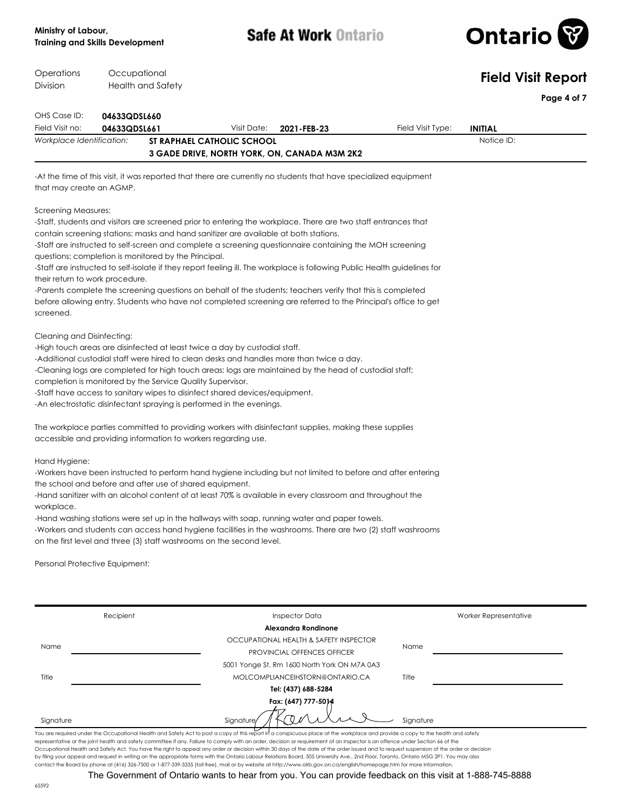

| Operations<br>Occupational<br>Division<br><b>Health and Safety</b> |                                 |                                                                |                                                                             |                                                                                                                                                                                                        |                   |                       | <b>Field Visit Report</b> |
|--------------------------------------------------------------------|---------------------------------|----------------------------------------------------------------|-----------------------------------------------------------------------------|--------------------------------------------------------------------------------------------------------------------------------------------------------------------------------------------------------|-------------------|-----------------------|---------------------------|
|                                                                    |                                 |                                                                |                                                                             |                                                                                                                                                                                                        | Page 4 of 7       |                       |                           |
| OHS Case ID:                                                       | 04633QDSL660                    |                                                                |                                                                             |                                                                                                                                                                                                        |                   |                       |                           |
| Field Visit no:                                                    | 04633QDSL661                    |                                                                | Visit Date:                                                                 | 2021-FEB-23                                                                                                                                                                                            | Field Visit Type: | <b>INITIAL</b>        |                           |
| Workplace Identification:                                          |                                 |                                                                | <b>ST RAPHAEL CATHOLIC SCHOOL</b>                                           | 3 GADE DRIVE, NORTH YORK, ON, CANADA M3M 2K2                                                                                                                                                           |                   | Notice ID:            |                           |
|                                                                    |                                 |                                                                |                                                                             | -At the time of this visit, it was reported that there are currently no students that have specialized equipment                                                                                       |                   |                       |                           |
| that may create an AGMP.                                           |                                 |                                                                |                                                                             |                                                                                                                                                                                                        |                   |                       |                           |
| Screening Measures:                                                |                                 |                                                                |                                                                             |                                                                                                                                                                                                        |                   |                       |                           |
|                                                                    |                                 |                                                                |                                                                             | -Staff, students and visitors are screened prior to entering the workplace. There are two staff entrances that<br>contain screening stations; masks and hand sanitizer are available at both stations. |                   |                       |                           |
|                                                                    |                                 |                                                                |                                                                             | -Staff are instructed to self-screen and complete a screening questionnaire containing the MOH screening                                                                                               |                   |                       |                           |
|                                                                    |                                 | questions; completion is monitored by the Principal.           |                                                                             |                                                                                                                                                                                                        |                   |                       |                           |
|                                                                    |                                 |                                                                |                                                                             | -Staff are instructed to self-isolate if they report feeling ill. The workplace is following Public Health guidelines for                                                                              |                   |                       |                           |
|                                                                    | their return to work procedure. |                                                                |                                                                             |                                                                                                                                                                                                        |                   |                       |                           |
|                                                                    |                                 |                                                                |                                                                             | -Parents complete the screening questions on behalf of the students; teachers verify that this is completed                                                                                            |                   |                       |                           |
| screened.                                                          |                                 |                                                                |                                                                             | before allowing entry. Students who have not completed screening are referred to the Principal's office to get                                                                                         |                   |                       |                           |
| Cleaning and Disinfecting:                                         |                                 |                                                                |                                                                             |                                                                                                                                                                                                        |                   |                       |                           |
|                                                                    |                                 |                                                                | -High touch areas are disinfected at least twice a day by custodial staff.  |                                                                                                                                                                                                        |                   |                       |                           |
|                                                                    |                                 |                                                                |                                                                             | -Additional custodial staff were hired to clean desks and handles more than twice a day.                                                                                                               |                   |                       |                           |
|                                                                    |                                 |                                                                |                                                                             | -Cleaning logs are completed for high touch areas; logs are maintained by the head of custodial staff;                                                                                                 |                   |                       |                           |
|                                                                    |                                 | completion is monitored by the Service Quality Supervisor.     |                                                                             |                                                                                                                                                                                                        |                   |                       |                           |
|                                                                    |                                 |                                                                | -Staff have access to sanitary wipes to disinfect shared devices/equipment. |                                                                                                                                                                                                        |                   |                       |                           |
|                                                                    |                                 |                                                                | -An electrostatic disinfectant spraying is performed in the evenings.       |                                                                                                                                                                                                        |                   |                       |                           |
|                                                                    |                                 |                                                                |                                                                             | The workplace parties committed to providing workers with disinfectant supplies, making these supplies                                                                                                 |                   |                       |                           |
|                                                                    |                                 | accessible and providing information to workers regarding use. |                                                                             |                                                                                                                                                                                                        |                   |                       |                           |
| Hand Hygiene:                                                      |                                 |                                                                |                                                                             |                                                                                                                                                                                                        |                   |                       |                           |
|                                                                    |                                 | the school and before and after use of shared equipment.       |                                                                             | -Workers have been instructed to perform hand hygiene including but not limited to before and after entering                                                                                           |                   |                       |                           |
|                                                                    |                                 |                                                                |                                                                             | -Hand sanitizer with an alcohol content of at least 70% is available in every classroom and throughout the                                                                                             |                   |                       |                           |
| workplace.                                                         |                                 |                                                                |                                                                             |                                                                                                                                                                                                        |                   |                       |                           |
|                                                                    |                                 |                                                                |                                                                             | -Hand washing stations were set up in the hallways with soap, running water and paper towels.                                                                                                          |                   |                       |                           |
|                                                                    |                                 |                                                                |                                                                             | -Workers and students can access hand hygiene facilities in the washrooms. There are two (2) staff washrooms                                                                                           |                   |                       |                           |
|                                                                    |                                 |                                                                | on the first level and three (3) staff washrooms on the second level.       |                                                                                                                                                                                                        |                   |                       |                           |
|                                                                    | Personal Protective Equipment:  |                                                                |                                                                             |                                                                                                                                                                                                        |                   |                       |                           |
|                                                                    |                                 |                                                                |                                                                             |                                                                                                                                                                                                        |                   |                       |                           |
|                                                                    | Recipient                       |                                                                |                                                                             | <b>Inspector Data</b>                                                                                                                                                                                  |                   | Worker Representative |                           |
|                                                                    |                                 |                                                                |                                                                             | Alexandra Rondinone                                                                                                                                                                                    |                   |                       |                           |
|                                                                    |                                 |                                                                |                                                                             | OCCUPATIONAL HEALTH & SAFETY INSPECTOR                                                                                                                                                                 |                   |                       |                           |
| Name                                                               |                                 |                                                                |                                                                             | PROVINCIAL OFFENCES OFFICER                                                                                                                                                                            | Name              |                       |                           |

5001 Yonge St. Rm 1600 North York ON M7A 0A3

| MOLCOMPLIANCEIHSTORN@ONTARIO.CA |
|---------------------------------|
| Tel: (437) 688-5284             |

**Fax: (647) 777-5014**

Title

You are required under the Occupational Health and Safety Act to post a copy of this report in a conspicuous place at the workplace and provide a copy to the health and safety representative or the joint health and safety committee if any. Failure to comply with an order, decision or requirement of an inspector is an offence under Section 66 of the Occupational Health and Safety Act. You have the right to appeal any order or decision within 30 days of the date of the order issued and to request suspension of the order or decision by filing your appeal and request in writing on the appropriate forms with the Ontario Labour Relations Board, 505 University Ave., 2nd Floor, Toronto, Ontario M5G 2P1. You may also<br>contact the Board by phone at (416) 326-

Signature Signature Signature Signature Signature Signature Signature Signature

The Government of Ontario wants to hear from you. You can provide feedback on this visit at 1-888-745-8888

Title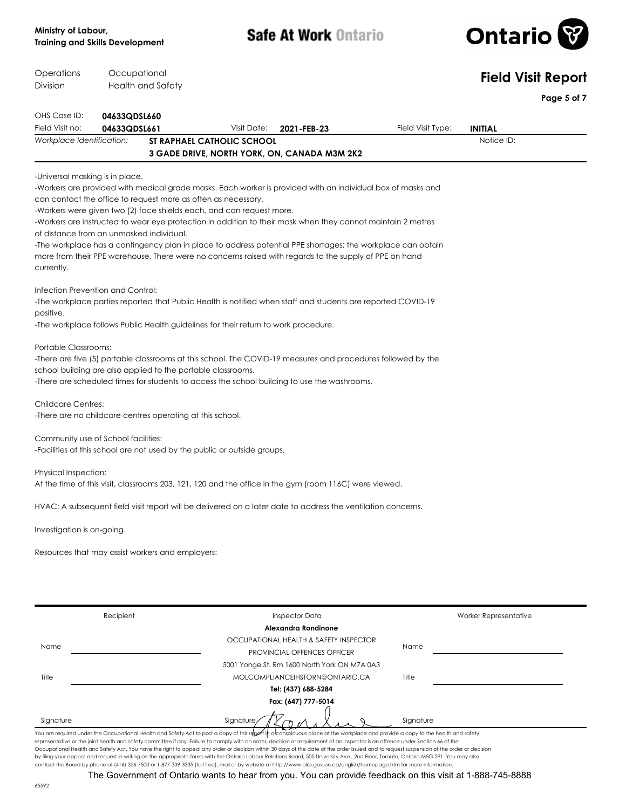### **Ministry of Labour, Training and Skills Development**

Occupational

Operations

**Safe At Work Ontario** 



| Operations                                                                                | Occupational |                                                                                                                                       |                            |                                                                                                                                                                                                                                                                                                                                                                                                                                                     |                   | <b>Field Visit Report</b> |
|-------------------------------------------------------------------------------------------|--------------|---------------------------------------------------------------------------------------------------------------------------------------|----------------------------|-----------------------------------------------------------------------------------------------------------------------------------------------------------------------------------------------------------------------------------------------------------------------------------------------------------------------------------------------------------------------------------------------------------------------------------------------------|-------------------|---------------------------|
| Division                                                                                  |              | Health and Safety                                                                                                                     |                            |                                                                                                                                                                                                                                                                                                                                                                                                                                                     |                   | Page 5 of 7               |
| OHS Case ID:                                                                              | 04633QDSL660 |                                                                                                                                       |                            |                                                                                                                                                                                                                                                                                                                                                                                                                                                     |                   |                           |
| Field Visit no:                                                                           | 04633QDSL661 |                                                                                                                                       | Visit Date:                | 2021-FEB-23                                                                                                                                                                                                                                                                                                                                                                                                                                         | Field Visit Type: | <b>INITIAL</b>            |
| Workplace Identification:                                                                 |              |                                                                                                                                       | ST RAPHAEL CATHOLIC SCHOOL | 3 GADE DRIVE, NORTH YORK, ON, CANADA M3M 2K2                                                                                                                                                                                                                                                                                                                                                                                                        |                   | Notice ID:                |
|                                                                                           |              |                                                                                                                                       |                            |                                                                                                                                                                                                                                                                                                                                                                                                                                                     |                   |                           |
| -Universal masking is in place.<br>of distance from an unmasked individual.<br>currently. |              | can contact the office to request more as often as necessary.<br>-Workers were given two (2) face shields each, and can request more. |                            | -Workers are provided with medical grade masks. Each worker is provided with an individual box of masks and<br>-Workers are instructed to wear eye protection in addition to their mask when they cannot maintain 2 metres<br>-The workplace has a contingency plan in place to address potential PPE shortages; the workplace can obtain<br>more from their PPE warehouse. There were no concerns raised with regards to the supply of PPE on hand |                   |                           |
| Infection Prevention and Control:<br>positive.                                            |              | -The workplace follows Public Health guidelines for their return to work procedure.                                                   |                            | -The workplace parties reported that Public Health is notified when staff and students are reported COVID-19                                                                                                                                                                                                                                                                                                                                        |                   |                           |
| Portable Classrooms:                                                                      |              | school building are also applied to the portable classrooms.                                                                          |                            | -There are five (5) portable classrooms at this school. The COVID-19 measures and procedures followed by the<br>-There are scheduled times for students to access the school building to use the washrooms.                                                                                                                                                                                                                                         |                   |                           |
| <b>Childcare Centres:</b>                                                                 |              | -There are no childcare centres operating at this school.                                                                             |                            |                                                                                                                                                                                                                                                                                                                                                                                                                                                     |                   |                           |
| Community use of School facilities:                                                       |              | -Facilities at this school are not used by the public or outside groups.                                                              |                            |                                                                                                                                                                                                                                                                                                                                                                                                                                                     |                   |                           |
| Physical Inspection:                                                                      |              |                                                                                                                                       |                            | At the time of this visit, classrooms 203, 121, 120 and the office in the gym (room 116C) were viewed.                                                                                                                                                                                                                                                                                                                                              |                   |                           |
|                                                                                           |              |                                                                                                                                       |                            | HVAC: A subsequent field visit report will be delivered on a later date to address the ventilation concerns.                                                                                                                                                                                                                                                                                                                                        |                   |                           |
| Investigation is on-going.                                                                |              |                                                                                                                                       |                            |                                                                                                                                                                                                                                                                                                                                                                                                                                                     |                   |                           |
|                                                                                           |              | Resources that may assist workers and employers:                                                                                      |                            |                                                                                                                                                                                                                                                                                                                                                                                                                                                     |                   |                           |
|                                                                                           |              |                                                                                                                                       |                            |                                                                                                                                                                                                                                                                                                                                                                                                                                                     |                   |                           |
|                                                                                           | Recipient    |                                                                                                                                       |                            | <b>Inspector Data</b><br>Alexandra Rondinone                                                                                                                                                                                                                                                                                                                                                                                                        |                   | Worker Representative     |
|                                                                                           |              |                                                                                                                                       |                            | OCCUPATIONAL HEALTH & SAFETY INSPECTOR                                                                                                                                                                                                                                                                                                                                                                                                              |                   |                           |
| Name                                                                                      |              |                                                                                                                                       |                            | PROVINCIAL OFFENCES OFFICER                                                                                                                                                                                                                                                                                                                                                                                                                         | Name              |                           |
|                                                                                           |              |                                                                                                                                       |                            | 5001 Yonge St. Rm 1600 North York ON M7A 0A3                                                                                                                                                                                                                                                                                                                                                                                                        |                   |                           |
| Title                                                                                     |              |                                                                                                                                       |                            | MOLCOMPLIANCEIHSTORN@ONTARIO.CA                                                                                                                                                                                                                                                                                                                                                                                                                     | Title             |                           |
|                                                                                           |              |                                                                                                                                       |                            | Tel: (437) 688-5284                                                                                                                                                                                                                                                                                                                                                                                                                                 |                   |                           |
|                                                                                           |              |                                                                                                                                       |                            | Fax: (647) 777-5014                                                                                                                                                                                                                                                                                                                                                                                                                                 |                   |                           |
| Signature                                                                                 |              |                                                                                                                                       | Signature                  |                                                                                                                                                                                                                                                                                                                                                                                                                                                     | Signature         |                           |
|                                                                                           |              |                                                                                                                                       |                            | You are required under the Occupational Health and Safety Act to post a copy of this repert in a conspicuous place at the workplace and provide a copy to the health and safety                                                                                                                                                                                                                                                                     |                   |                           |

by filing your appeal and request in writing on the appropriate forms with the Ontario Labour Relations Board, 505 University Ave., 2nd Floor, Toronto, Ontario M5G 2P1. You may also<br>contact the Board by phone at (416) 326-The Government of Ontario wants to hear from you. You can provide feedback on this visit at 1-888-745-8888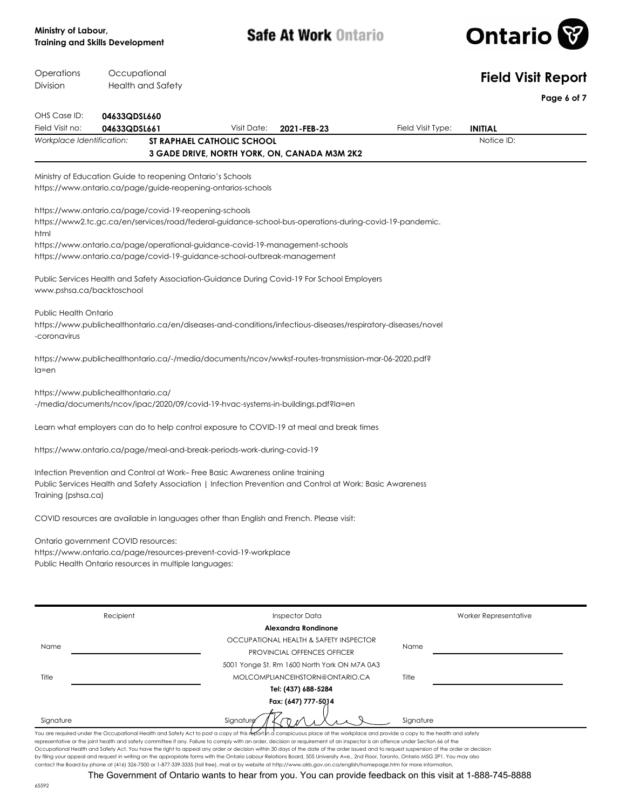

| Operations                                   | Occupational |                                                                                                                                    |                                           |                                                                                                                                                                                                                                                                                                                                                                                                                                                                                                                                                               |                   | <b>Field Visit Report</b>    |
|----------------------------------------------|--------------|------------------------------------------------------------------------------------------------------------------------------------|-------------------------------------------|---------------------------------------------------------------------------------------------------------------------------------------------------------------------------------------------------------------------------------------------------------------------------------------------------------------------------------------------------------------------------------------------------------------------------------------------------------------------------------------------------------------------------------------------------------------|-------------------|------------------------------|
| Division                                     |              | <b>Health and Safety</b>                                                                                                           |                                           |                                                                                                                                                                                                                                                                                                                                                                                                                                                                                                                                                               |                   | Page 6 of 7                  |
| OHS Case ID:                                 | 04633QDSL660 |                                                                                                                                    |                                           |                                                                                                                                                                                                                                                                                                                                                                                                                                                                                                                                                               |                   |                              |
| Field Visit no:<br>Workplace Identification: | 04633QDSL661 |                                                                                                                                    | Visit Date:<br>ST RAPHAEL CATHOLIC SCHOOL | 2021-FEB-23                                                                                                                                                                                                                                                                                                                                                                                                                                                                                                                                                   | Field Visit Type: | <b>INITIAL</b><br>Notice ID: |
|                                              |              |                                                                                                                                    |                                           | 3 GADE DRIVE, NORTH YORK, ON, CANADA M3M 2K2                                                                                                                                                                                                                                                                                                                                                                                                                                                                                                                  |                   |                              |
|                                              |              | Ministry of Education Guide to reopening Ontario's Schools<br>https://www.ontario.ca/page/guide-reopening-ontarios-schools         |                                           |                                                                                                                                                                                                                                                                                                                                                                                                                                                                                                                                                               |                   |                              |
| html                                         |              | https://www.ontario.ca/page/covid-19-reopening-schools<br>https://www.ontario.ca/page/covid-19-guidance-school-outbreak-management |                                           | https://www2.tc.gc.ca/en/services/road/federal-guidance-school-bus-operations-during-covid-19-pandemic.<br>https://www.ontario.ca/page/operational-guidance-covid-19-management-schools                                                                                                                                                                                                                                                                                                                                                                       |                   |                              |
| www.pshsa.ca/backtoschool                    |              |                                                                                                                                    |                                           | Public Services Health and Safety Association-Guidance During Covid-19 For School Employers                                                                                                                                                                                                                                                                                                                                                                                                                                                                   |                   |                              |
| <b>Public Health Ontario</b><br>-coronavirus |              |                                                                                                                                    |                                           | https://www.publichealthontario.ca/en/diseases-and-conditions/infectious-diseases/respiratory-diseases/novel                                                                                                                                                                                                                                                                                                                                                                                                                                                  |                   |                              |
| $l$ a=en                                     |              |                                                                                                                                    |                                           | https://www.publichealthontario.ca/-/media/documents/ncov/wwksf-routes-transmission-mar-06-2020.pdf?                                                                                                                                                                                                                                                                                                                                                                                                                                                          |                   |                              |
| https://www.publichealthontario.ca/          |              |                                                                                                                                    |                                           | -/media/documents/ncov/ipac/2020/09/covid-19-hvac-systems-in-buildings.pdf?la=en                                                                                                                                                                                                                                                                                                                                                                                                                                                                              |                   |                              |
|                                              |              |                                                                                                                                    |                                           | Learn what employers can do to help control exposure to COVID-19 at meal and break times                                                                                                                                                                                                                                                                                                                                                                                                                                                                      |                   |                              |
|                                              |              | https://www.ontario.ca/page/meal-and-break-periods-work-during-covid-19                                                            |                                           |                                                                                                                                                                                                                                                                                                                                                                                                                                                                                                                                                               |                   |                              |
| Training (pshsa.ca)                          |              | Infection Prevention and Control at Work-Free Basic Awareness online training                                                      |                                           | Public Services Health and Safety Association   Infection Prevention and Control at Work: Basic Awareness                                                                                                                                                                                                                                                                                                                                                                                                                                                     |                   |                              |
|                                              |              |                                                                                                                                    |                                           | COVID resources are available in languages other than English and French. Please visit:                                                                                                                                                                                                                                                                                                                                                                                                                                                                       |                   |                              |
| Ontario government COVID resources:          |              | https://www.ontario.ca/page/resources-prevent-covid-19-workplace<br>Public Health Ontario resources in multiple languages:         |                                           |                                                                                                                                                                                                                                                                                                                                                                                                                                                                                                                                                               |                   |                              |
|                                              | Recipient    |                                                                                                                                    |                                           | <b>Inspector Data</b>                                                                                                                                                                                                                                                                                                                                                                                                                                                                                                                                         |                   | Worker Representative        |
| Name                                         |              |                                                                                                                                    |                                           | Alexandra Rondinone<br>OCCUPATIONAL HEALTH & SAFETY INSPECTOR<br>PROVINCIAL OFFENCES OFFICER                                                                                                                                                                                                                                                                                                                                                                                                                                                                  | Name              |                              |
| Title                                        |              |                                                                                                                                    |                                           | 5001 Yonge St. Rm 1600 North York ON M7A 0A3<br>MOLCOMPLIANCEIHSTORN@ONTARIO.CA<br>Tel: (437) 688-5284                                                                                                                                                                                                                                                                                                                                                                                                                                                        | Title             |                              |
| Signature                                    |              |                                                                                                                                    | Signature                                 | Fax: (647) 777-5014                                                                                                                                                                                                                                                                                                                                                                                                                                                                                                                                           | Signature         |                              |
|                                              |              |                                                                                                                                    |                                           | You are required under the Occupational Health and Safety Act to post a copy of this report in a conspicuous place at the workplace and provide a copy to the health and safety<br>representative or the joint health and safety committee if any. Failure to comply with an order, decision or requirement of an inspector is an offence under Section 66 of the<br>Occupational Health and Safety Act. You have the right to appeal any order or decision within 30 days of the date of the order issued and to request suspension of the order or decision |                   |                              |

The Government of Ontario wants to hear from you. You can provide feedback on this visit at 1-888-745-8888

contact the Board by phone at (416) 326-7500 or 1-877-339-3335 (toll free), mail or by website at http://www.olrb.gov.on.ca/english/homepage.htm for more information.